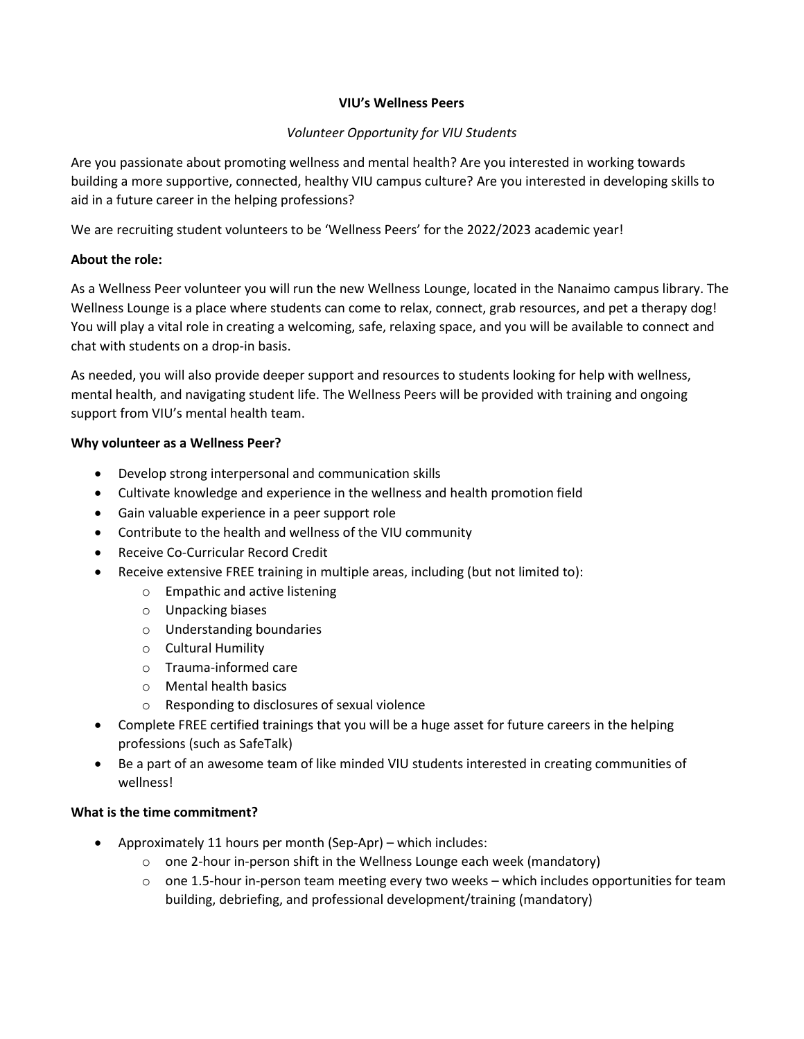### **VIU's Wellness Peers**

# *Volunteer Opportunity for VIU Students*

Are you passionate about promoting wellness and mental health? Are you interested in working towards building a more supportive, connected, healthy VIU campus culture? Are you interested in developing skills to aid in a future career in the helping professions?

We are recruiting student volunteers to be 'Wellness Peers' for the 2022/2023 academic year!

# **About the role:**

As a Wellness Peer volunteer you will run the new Wellness Lounge, located in the Nanaimo campus library. The Wellness Lounge is a place where students can come to relax, connect, grab resources, and pet a therapy dog! You will play a vital role in creating a welcoming, safe, relaxing space, and you will be available to connect and chat with students on a drop-in basis.

As needed, you will also provide deeper support and resources to students looking for help with wellness, mental health, and navigating student life. The Wellness Peers will be provided with training and ongoing support from VIU's mental health team.

## **Why volunteer as a Wellness Peer?**

- Develop strong interpersonal and communication skills
- Cultivate knowledge and experience in the wellness and health promotion field
- Gain valuable experience in a peer support role
- Contribute to the health and wellness of the VIU community
- Receive Co-Curricular Record Credit
- Receive extensive FREE training in multiple areas, including (but not limited to):
	- o Empathic and active listening
	- o Unpacking biases
	- o Understanding boundaries
	- o Cultural Humility
	- o Trauma-informed care
	- o Mental health basics
	- o Responding to disclosures of sexual violence
- Complete FREE certified trainings that you will be a huge asset for future careers in the helping professions (such as SafeTalk)
- Be a part of an awesome team of like minded VIU students interested in creating communities of wellness!

#### **What is the time commitment?**

- Approximately 11 hours per month (Sep-Apr) which includes:
	- $\circ$  one 2-hour in-person shift in the Wellness Lounge each week (mandatory)
	- $\circ$  one 1.5-hour in-person team meeting every two weeks which includes opportunities for team building, debriefing, and professional development/training (mandatory)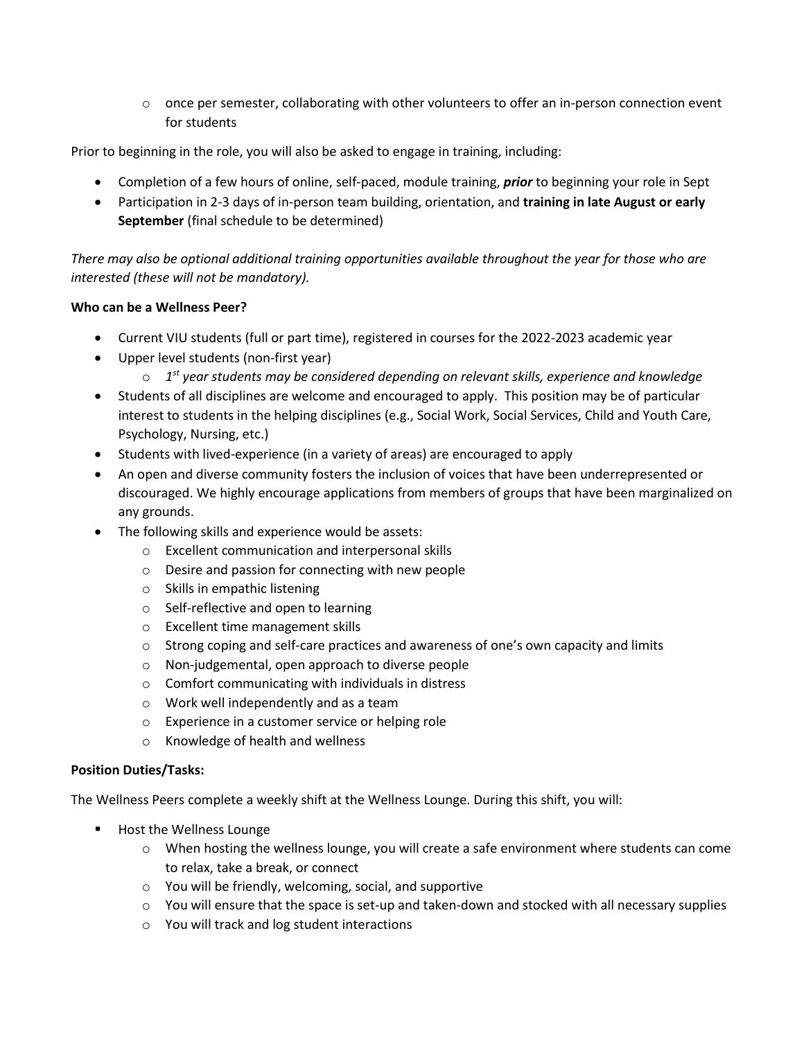$\circ$  once per semester, collaborating with other volunteers to offer an in-person connection event for students

Prior to beginning in the role, you will also be asked to engage in training, including:

- Completion of a few hours of online, self-paced, module training, *prior* to beginning your role in Sept
- Participation in 2-3 days of in-person team building, orientation, and **training in late August or early September** (final schedule to be determined)

*There may also be optional additional training opportunities available throughout the year for those who are interested (these will not be mandatory).*

#### **Who can be a Wellness Peer?**

- Current VIU students (full or part time), registered in courses for the 2022-2023 academic year
- Upper level students (non-first year)
	- o *1 st year students may be considered depending on relevant skills, experience and knowledge*
- Students of all disciplines are welcome and encouraged to apply. This position may be of particular interest to students in the helping disciplines (e.g., Social Work, Social Services, Child and Youth Care, Psychology, Nursing, etc.)
- Students with lived-experience (in a variety of areas) are encouraged to apply
- An open and diverse community fosters the inclusion of voices that have been underrepresented or discouraged. We highly encourage applications from members of groups that have been marginalized on any grounds.
- The following skills and experience would be assets:
	- o Excellent communication and interpersonal skills
	- o Desire and passion for connecting with new people
	- o Skills in empathic listening
	- o Self-reflective and open to learning
	- o Excellent time management skills
	- $\circ$  Strong coping and self-care practices and awareness of one's own capacity and limits
	- o Non-judgemental, open approach to diverse people
	- o Comfort communicating with individuals in distress
	- o Work well independently and as a team
	- o Experience in a customer service or helping role
	- o Knowledge of health and wellness

#### **Position Duties/Tasks:**

The Wellness Peers complete a weekly shift at the Wellness Lounge. During this shift, you will:

- **Host the Wellness Lounge** 
	- $\circ$  When hosting the wellness lounge, you will create a safe environment where students can come to relax, take a break, or connect
	- o You will be friendly, welcoming, social, and supportive
	- $\circ$  You will ensure that the space is set-up and taken-down and stocked with all necessary supplies
	- o You will track and log student interactions